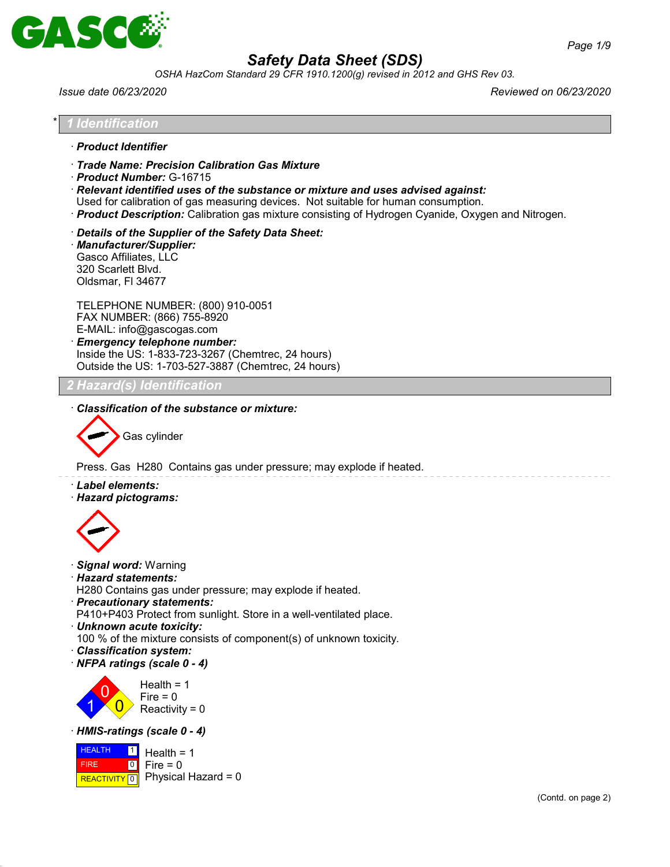

*OSHA HazCom Standard 29 CFR 1910.1200(g) revised in 2012 and GHS Rev 03.*

*Issue date 06/23/2020 Reviewed on 06/23/2020*

#### \* *1 Identification*

- · *Product Identifier*
- · *Trade Name: Precision Calibration Gas Mixture*
- · *Product Number:* G-16715

· *Relevant identified uses of the substance or mixture and uses advised against:*

- Used for calibration of gas measuring devices. Not suitable for human consumption.
- · *Product Description:* Calibration gas mixture consisting of Hydrogen Cyanide, Oxygen and Nitrogen.
- · *Details of the Supplier of the Safety Data Sheet:*
- · *Manufacturer/Supplier:* Gasco Affiliates, LLC 320 Scarlett Blvd. Oldsmar, Fl 34677

TELEPHONE NUMBER: (800) 910-0051 FAX NUMBER: (866) 755-8920 E-MAIL: info@gascogas.com · *Emergency telephone number:*

Inside the US: 1-833-723-3267 (Chemtrec, 24 hours) Outside the US: 1-703-527-3887 (Chemtrec, 24 hours)

## *2 Hazard(s) Identification*

· *Classification of the substance or mixture:*

Gas cylinder

Press. Gas H280 Contains gas under pressure; may explode if heated.

- · *Label elements:*
- · *Hazard pictograms:*



- · *Signal word:* Warning
- · *Hazard statements:*

H280 Contains gas under pressure; may explode if heated.

· *Precautionary statements:*

P410+P403 Protect from sunlight. Store in a well-ventilated place.

· *Unknown acute toxicity:*

100 % of the mixture consists of component(s) of unknown toxicity.

- · *Classification system:*
- · *NFPA ratings (scale 0 4)*



#### · *HMIS-ratings (scale 0 - 4)*

**HEALTH**  FIRE  $R$ **REACTIVITY**  $\boxed{0}$  Physical Hazard = 0 1  $\boxed{0}$ Health  $= 1$  $Fire = 0$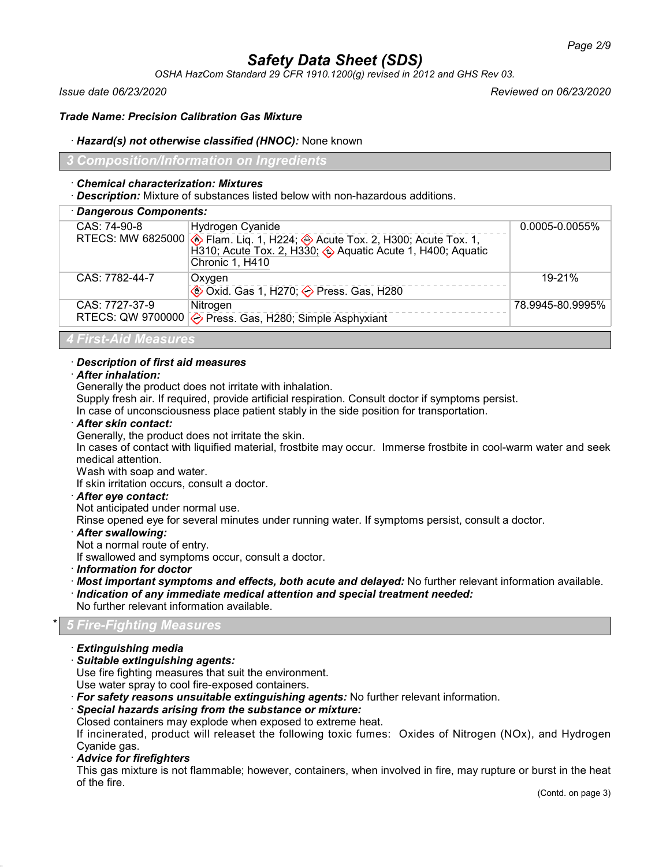*OSHA HazCom Standard 29 CFR 1910.1200(g) revised in 2012 and GHS Rev 03.*

*Issue date 06/23/2020 Reviewed on 06/23/2020*

#### *Trade Name: Precision Calibration Gas Mixture*

#### · *Hazard(s) not otherwise classified (HNOC):* None known

*3 Composition/Information on Ingredients*

#### · *Chemical characterization: Mixtures*

· *Description:* Mixture of substances listed below with non-hazardous additions.

| · Dangerous Components: |                                                                                                                                                                                                                                        |                     |
|-------------------------|----------------------------------------------------------------------------------------------------------------------------------------------------------------------------------------------------------------------------------------|---------------------|
| CAS: 74-90-8            | Hydrogen Cyanide                                                                                                                                                                                                                       | $0.0005 - 0.0055\%$ |
|                         | RTECS: MW 6825000 $\circledcirc$ Flam. Liq. 1, H224; $\circledcirc$ Acute Tox. 2, H300; Acute Tox. 1,<br>$\overrightarrow{H}310$ ; Acute Tox. 2, $\overrightarrow{H}330$ ; $\otimes$ Aquatic Acute 1, H400; Aquatic<br>Chronic 1, H410 |                     |
| CAS: 7782-44-7          | Oxygen                                                                                                                                                                                                                                 | $19 - 21%$          |
|                         | <b>♦ Oxid. Gas 1, H270; ♦ Press. Gas, H280</b>                                                                                                                                                                                         |                     |
| CAS: 7727-37-9          | Nitrogen                                                                                                                                                                                                                               | 78.9945-80.9995%    |
|                         | RTECS: QW 9700000 $\diamond$ Press. Gas, H280; Simple Asphyxiant                                                                                                                                                                       |                     |
|                         |                                                                                                                                                                                                                                        |                     |

#### *4 First-Aid Measures*

#### · *Description of first aid measures*

#### · *After inhalation:*

Generally the product does not irritate with inhalation.

Supply fresh air. If required, provide artificial respiration. Consult doctor if symptoms persist.

In case of unconsciousness place patient stably in the side position for transportation.

#### · *After skin contact:*

Generally, the product does not irritate the skin.

In cases of contact with liquified material, frostbite may occur. Immerse frostbite in cool-warm water and seek medical attention.

Wash with soap and water.

If skin irritation occurs, consult a doctor.

#### · *After eye contact:*

Not anticipated under normal use.

Rinse opened eye for several minutes under running water. If symptoms persist, consult a doctor.

· *After swallowing:*

Not a normal route of entry.

If swallowed and symptoms occur, consult a doctor.

- · *Information for doctor*
- · *Most important symptoms and effects, both acute and delayed:* No further relevant information available.
- · *Indication of any immediate medical attention and special treatment needed:*
- No further relevant information available.

## \* *5 Fire-Fighting Measures*

#### · *Extinguishing media*

· *Suitable extinguishing agents:*

Use fire fighting measures that suit the environment.

Use water spray to cool fire-exposed containers.

· *For safety reasons unsuitable extinguishing agents:* No further relevant information.

#### · *Special hazards arising from the substance or mixture:*

Closed containers may explode when exposed to extreme heat.

If incinerated, product will releaset the following toxic fumes: Oxides of Nitrogen (NOx), and Hydrogen Cyanide gas.

#### · *Advice for firefighters*

This gas mixture is not flammable; however, containers, when involved in fire, may rupture or burst in the heat of the fire.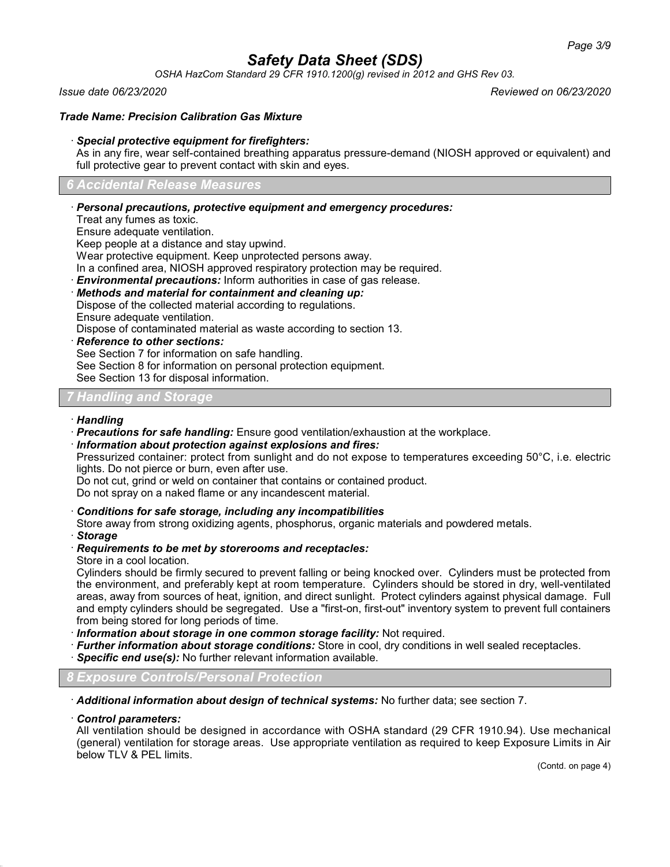*OSHA HazCom Standard 29 CFR 1910.1200(g) revised in 2012 and GHS Rev 03.*

*Issue date 06/23/2020 Reviewed on 06/23/2020*

#### *Trade Name: Precision Calibration Gas Mixture*

#### · *Special protective equipment for firefighters:*

As in any fire, wear self-contained breathing apparatus pressure-demand (NIOSH approved or equivalent) and full protective gear to prevent contact with skin and eyes.

#### *6 Accidental Release Measures*

#### · *Personal precautions, protective equipment and emergency procedures:*

Treat any fumes as toxic.

Ensure adequate ventilation.

Keep people at a distance and stay upwind.

Wear protective equipment. Keep unprotected persons away.

In a confined area, NIOSH approved respiratory protection may be required.

**Environmental precautions:** Inform authorities in case of gas release.

· *Methods and material for containment and cleaning up:* Dispose of the collected material according to regulations. Ensure adequate ventilation.

Dispose of contaminated material as waste according to section 13.

· *Reference to other sections:*

See Section 7 for information on safe handling.

See Section 8 for information on personal protection equipment.

See Section 13 for disposal information.

## *7 Handling and Storage*

#### · *Handling*

· *Precautions for safe handling:* Ensure good ventilation/exhaustion at the workplace.

· *Information about protection against explosions and fires:*

Pressurized container: protect from sunlight and do not expose to temperatures exceeding 50°C, i.e. electric lights. Do not pierce or burn, even after use.

Do not cut, grind or weld on container that contains or contained product.

Do not spray on a naked flame or any incandescent material.

#### · *Conditions for safe storage, including any incompatibilities*

Store away from strong oxidizing agents, phosphorus, organic materials and powdered metals.

#### · *Storage*

- · *Requirements to be met by storerooms and receptacles:*
- Store in a cool location.

Cylinders should be firmly secured to prevent falling or being knocked over. Cylinders must be protected from the environment, and preferably kept at room temperature. Cylinders should be stored in dry, well-ventilated areas, away from sources of heat, ignition, and direct sunlight. Protect cylinders against physical damage. Full and empty cylinders should be segregated. Use a "first-on, first-out" inventory system to prevent full containers from being stored for long periods of time.

· *Information about storage in one common storage facility:* Not required.

- · *Further information about storage conditions:* Store in cool, dry conditions in well sealed receptacles.
- · *Specific end use(s):* No further relevant information available.

*8 Exposure Controls/Personal Protection*

· *Additional information about design of technical systems:* No further data; see section 7.

#### · *Control parameters:*

All ventilation should be designed in accordance with OSHA standard (29 CFR 1910.94). Use mechanical (general) ventilation for storage areas. Use appropriate ventilation as required to keep Exposure Limits in Air below TLV & PEL limits.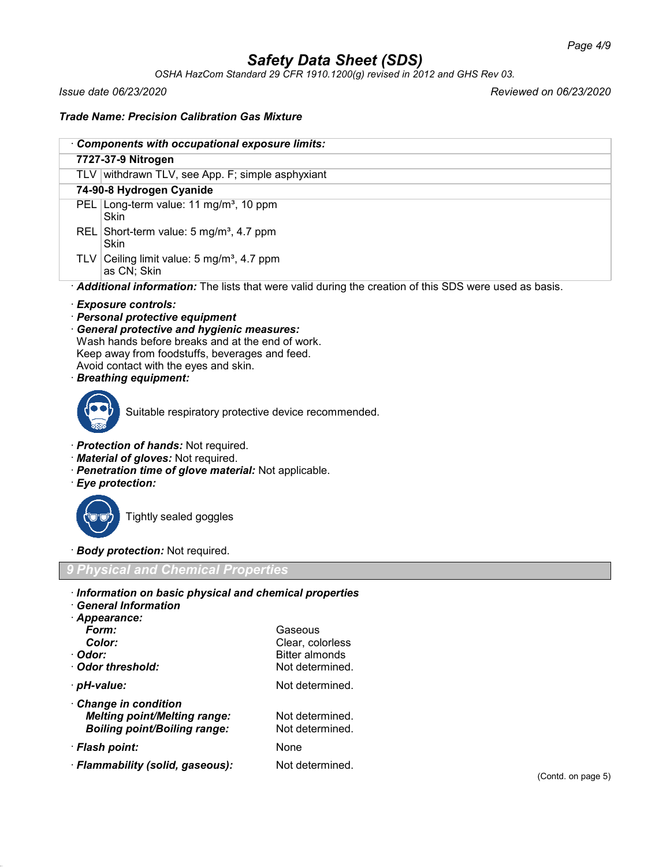*OSHA HazCom Standard 29 CFR 1910.1200(g) revised in 2012 and GHS Rev 03.*

*Issue date 06/23/2020 Reviewed on 06/23/2020*

#### *Trade Name: Precision Calibration Gas Mixture*

| Components with occupational exposure limits:                                                         |
|-------------------------------------------------------------------------------------------------------|
| 7727-37-9 Nitrogen                                                                                    |
| TLV withdrawn TLV, see App. F; simple asphyxiant                                                      |
| 74-90-8 Hydrogen Cyanide                                                                              |
| PEL Long-term value: 11 mg/m <sup>3</sup> , 10 ppm<br>Skin                                            |
| REL Short-term value: $5 \text{ mg/m}^3$ , 4.7 ppm<br>Skin                                            |
| TLV Ceiling limit value: $5 \text{ mg/m}^3$ , 4.7 ppm<br>as CN; Skin                                  |
| Additional information: The lists that were valid during the creation of this SDS were used as basis. |

- · *Exposure controls:*
- · *Personal protective equipment*

· *General protective and hygienic measures:* Wash hands before breaks and at the end of work. Keep away from foodstuffs, beverages and feed. Avoid contact with the eyes and skin.

· *Breathing equipment:*



Suitable respiratory protective device recommended.

- · *Protection of hands:* Not required.
- · *Material of gloves:* Not required.
- · *Penetration time of glove material:* Not applicable.
- · *Eye protection:*



Tightly sealed goggles

· *Body protection:* Not required.

#### *9 Physical and Chemical Properties*

- · *Information on basic physical and chemical properties*
- · *General Information*
- · *Appearance:*

|  | ۰. |  | ., | ı |  |
|--|----|--|----|---|--|
|  |    |  |    |   |  |

- 
- 
- · Odor threshold:
- 

| <b>Change in condition</b>          |                 |
|-------------------------------------|-----------------|
| <b>Melting point/Melting range:</b> | Not determined. |
| <b>Boiling point/Boiling range:</b> | Not determined. |

- · *Flash point:* None
- · *Flammability (solid, gaseous):* Not determined.

*Form:* Gaseous **Color:** Color: Clear, colorless<br> **Color:** Color: Bitter almonds Bitter almonds<br>Not determined. · **pH-value:** Not determined.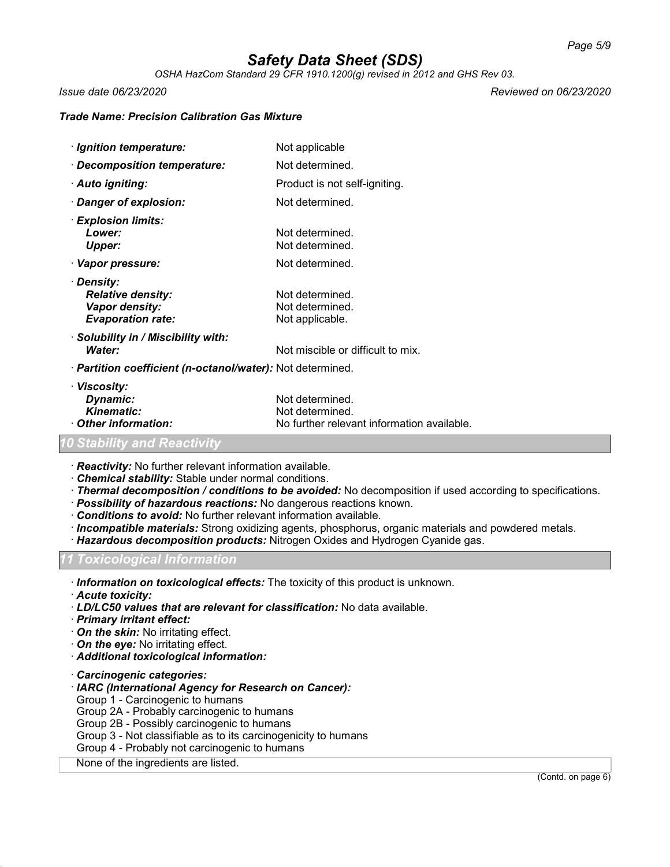*OSHA HazCom Standard 29 CFR 1910.1200(g) revised in 2012 and GHS Rev 03.*

*Issue date 06/23/2020 Reviewed on 06/23/2020*

#### *Trade Name: Precision Calibration Gas Mixture*

*Ignition temperature:* Not applicable · *Decomposition temperature:* Not determined. · **Auto igniting:** Product is not self-igniting. *Danger of explosion:* Not determined. · *Explosion limits:* **Lower:** Not determined. **Upper:** Not determined. · **Vapor pressure:** Not determined. · *Density:* **Relative density:** Not determined.<br> **Vapor density:** Not determined. **Vapor density:** Not determined.<br> **Evaporation rate:** Not applicable. *Evaporation rate:* · *Solubility in / Miscibility with:* **Water:** Water: Not miscible or difficult to mix. · *Partition coefficient (n-octanol/water):* Not determined. · *Viscosity:* **Dynamic:** Not determined. **Kinematic:** Not determined.<br>Other information: No further relevant · *Other information:* No further relevant information available.

## *10 Stability and Reactivity*

· *Reactivity:* No further relevant information available.

- · *Chemical stability:* Stable under normal conditions.
- · *Thermal decomposition / conditions to be avoided:* No decomposition if used according to specifications.
- · *Possibility of hazardous reactions:* No dangerous reactions known.
- · *Conditions to avoid:* No further relevant information available.
- · *Incompatible materials:* Strong oxidizing agents, phosphorus, organic materials and powdered metals.
- · *Hazardous decomposition products:* Nitrogen Oxides and Hydrogen Cyanide gas.

*11 Toxicological Information*

· *Information on toxicological effects:* The toxicity of this product is unknown.

- · *Acute toxicity:*
- · *LD/LC50 values that are relevant for classification:* No data available.
- · *Primary irritant effect:*
- · *On the skin:* No irritating effect.
- · *On the eye:* No irritating effect.
- · *Additional toxicological information:*
- · *Carcinogenic categories:*

· *IARC (International Agency for Research on Cancer):*

Group 1 - Carcinogenic to humans

Group 2A - Probably carcinogenic to humans

Group 2B - Possibly carcinogenic to humans

Group 3 - Not classifiable as to its carcinogenicity to humans

Group 4 - Probably not carcinogenic to humans

None of the ingredients are listed.

(Contd. on page 6)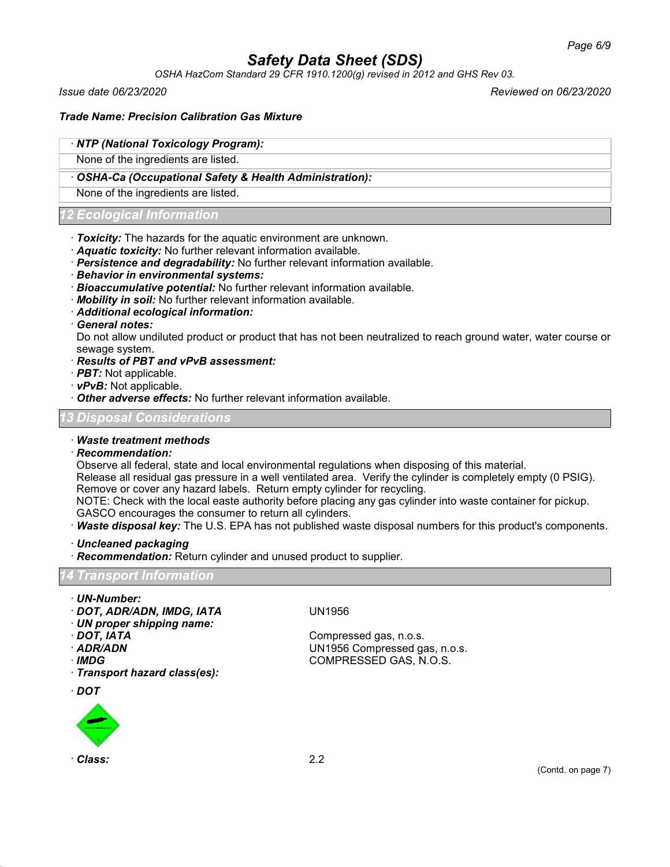*OSHA HazCom Standard 29 CFR 1910.1200(g) revised in 2012 and GHS Rev 03.*

*Issue date 06/23/2020 Reviewed on 06/23/2020*

#### *Trade Name: Precision Calibration Gas Mixture*

## · *NTP (National Toxicology Program):*

None of the ingredients are listed.

#### · *OSHA-Ca (Occupational Safety & Health Administration):*

None of the ingredients are listed.

#### *12 Ecological Information*

- · *Toxicity:* The hazards for the aquatic environment are unknown.
- · *Aquatic toxicity:* No further relevant information available.
- · *Persistence and degradability:* No further relevant information available.
- · *Behavior in environmental systems:*
- · *Bioaccumulative potential:* No further relevant information available.
- · *Mobility in soil:* No further relevant information available.
- · *Additional ecological information:*
- · *General notes:*

Do not allow undiluted product or product that has not been neutralized to reach ground water, water course or sewage system.

#### · *Results of PBT and vPvB assessment:*

- · *PBT:* Not applicable.
- · *vPvB:* Not applicable.
- · *Other adverse effects:* No further relevant information available.

## *13 Disposal Considerations*

#### · *Waste treatment methods*

#### · *Recommendation:*

Observe all federal, state and local environmental regulations when disposing of this material.

Release all residual gas pressure in a well ventilated area. Verify the cylinder is completely empty (0 PSIG). Remove or cover any hazard labels. Return empty cylinder for recycling.

NOTE: Check with the local easte authority before placing any gas cylinder into waste container for pickup.

GASCO encourages the consumer to return all cylinders.

- · *Waste disposal key:* The U.S. EPA has not published waste disposal numbers for this product's components.
- · *Uncleaned packaging*
- · *Recommendation:* Return cylinder and unused product to supplier.

#### *14 Transport Information*

- · *UN-Number:*
- · *DOT, ADR/ADN, IMDG, IATA* UN1956
- · *UN proper shipping name:*
- 
- 
- 
- · *Transport hazard class(es):*
- · *DOT*



· *Class:* 2.2

**DOT, IATA** Compressed gas, n.o.s.<br>ADR/ADN COMPRESSED COMPRESSED AT LIN1956 Compressed gas · *ADR/ADN* UN1956 Compressed gas, n.o.s. COMPRESSED GAS, N.O.S.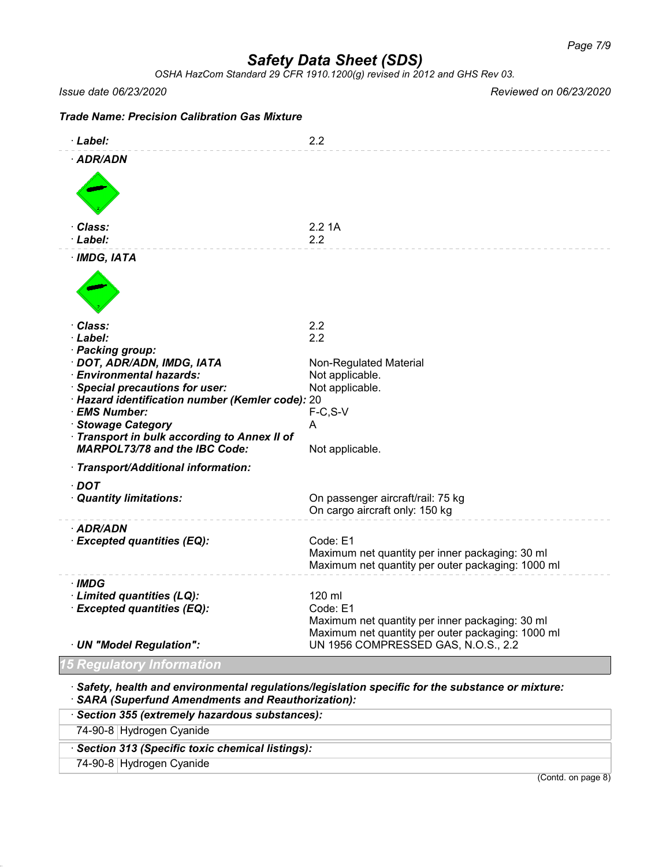*OSHA HazCom Standard 29 CFR 1910.1200(g) revised in 2012 and GHS Rev 03.*

#### *Issue date 06/23/2020 Reviewed on 06/23/2020*

| <b>Trade Name: Precision Calibration Gas Mixture</b>                                                                                                                                                                                                                                                                     |                                                                                                                                                                   |
|--------------------------------------------------------------------------------------------------------------------------------------------------------------------------------------------------------------------------------------------------------------------------------------------------------------------------|-------------------------------------------------------------------------------------------------------------------------------------------------------------------|
| · Label:                                                                                                                                                                                                                                                                                                                 | 2.2                                                                                                                                                               |
| · ADR/ADN                                                                                                                                                                                                                                                                                                                |                                                                                                                                                                   |
| · Class:<br>· Label:                                                                                                                                                                                                                                                                                                     | 2.21A<br>2.2                                                                                                                                                      |
| · IMDG, IATA                                                                                                                                                                                                                                                                                                             |                                                                                                                                                                   |
| · Class:<br>· Label:<br>· Packing group:<br>· DOT, ADR/ADN, IMDG, IATA<br>· Environmental hazards:<br>· Special precautions for user:<br>· Hazard identification number (Kemler code): 20<br>· EMS Number:<br>· Stowage Category<br>· Transport in bulk according to Annex II of<br><b>MARPOL73/78 and the IBC Code:</b> | 2.2<br>2.2<br><b>Non-Regulated Material</b><br>Not applicable.<br>Not applicable.<br>$F-C, S-V$<br>A<br>Not applicable.                                           |
| · Transport/Additional information:                                                                                                                                                                                                                                                                                      |                                                                                                                                                                   |
| $\cdot$ DOT<br>· Quantity limitations:                                                                                                                                                                                                                                                                                   | On passenger aircraft/rail: 75 kg<br>On cargo aircraft only: 150 kg                                                                                               |
| · ADR/ADN<br>· Excepted quantities (EQ):                                                                                                                                                                                                                                                                                 | Code: E1<br>Maximum net quantity per inner packaging: 30 ml<br>Maximum net quantity per outer packaging: 1000 ml                                                  |
| · IMDG<br>· Limited quantities (LQ):<br>· Excepted quantities (EQ):<br>· UN "Model Regulation":                                                                                                                                                                                                                          | 120 ml<br>Code: E1<br>Maximum net quantity per inner packaging: 30 ml<br>Maximum net quantity per outer packaging: 1000 ml<br>UN 1956 COMPRESSED GAS, N.O.S., 2.2 |
| Regulatory Information                                                                                                                                                                                                                                                                                                   |                                                                                                                                                                   |

· *Safety, health and environmental regulations/legislation specific for the substance or mixture:* · *SARA (Superfund Amendments and Reauthorization):*

· *Section 355 (extremely hazardous substances):*

74-90-8 Hydrogen Cyanide

· *Section 313 (Specific toxic chemical listings):*

74-90-8 Hydrogen Cyanide

(Contd. on page 8)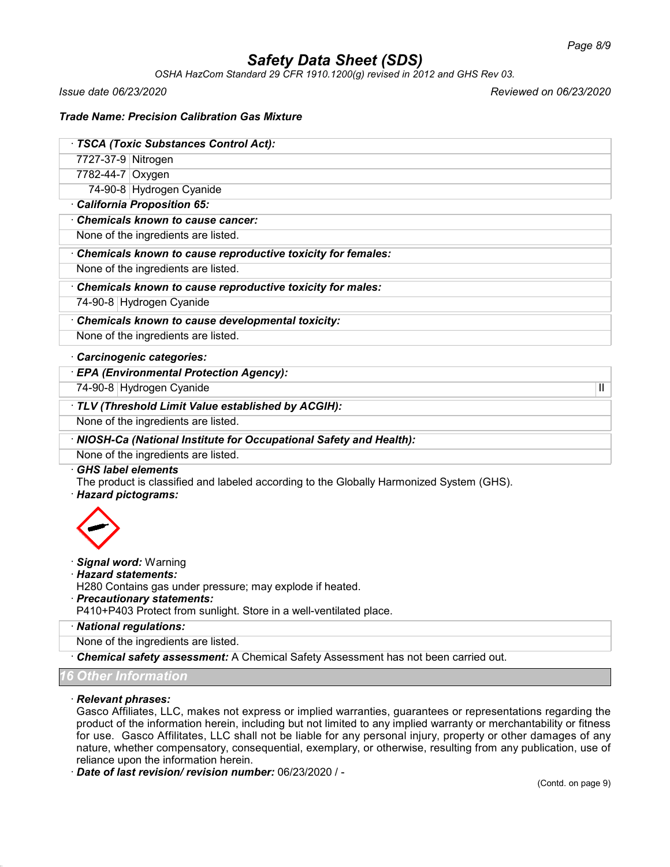*OSHA HazCom Standard 29 CFR 1910.1200(g) revised in 2012 and GHS Rev 03.*

*Issue date 06/23/2020 Reviewed on 06/23/2020*

#### *Trade Name: Precision Calibration Gas Mixture*

| · TSCA (Toxic Substances Control Act):                                                                                                        |
|-----------------------------------------------------------------------------------------------------------------------------------------------|
| 7727-37-9 Nitrogen                                                                                                                            |
| 7782-44-7 Oxygen                                                                                                                              |
| 74-90-8 Hydrogen Cyanide                                                                                                                      |
| · California Proposition 65:                                                                                                                  |
| Chemicals known to cause cancer:                                                                                                              |
| None of the ingredients are listed.                                                                                                           |
| Chemicals known to cause reproductive toxicity for females:                                                                                   |
| None of the ingredients are listed.                                                                                                           |
| Chemicals known to cause reproductive toxicity for males:                                                                                     |
| 74-90-8 Hydrogen Cyanide                                                                                                                      |
| Chemicals known to cause developmental toxicity:                                                                                              |
| None of the ingredients are listed.                                                                                                           |
| Carcinogenic categories:                                                                                                                      |
| · EPA (Environmental Protection Agency):                                                                                                      |
| 74-90-8 Hydrogen Cyanide<br>$\mathbf{II}$                                                                                                     |
| · TLV (Threshold Limit Value established by ACGIH):                                                                                           |
| None of the ingredients are listed.                                                                                                           |
| · NIOSH-Ca (National Institute for Occupational Safety and Health):                                                                           |
| None of the ingredients are listed.                                                                                                           |
| <b>GHS label elements</b><br>The product is classified and labeled according to the Globally Harmonized System (GHS).<br>· Hazard pictograms: |
|                                                                                                                                               |

#### · *Signal word:* Warning

· *Hazard statements:*

H280 Contains gas under pressure; may explode if heated.

· *Precautionary statements:*

P410+P403 Protect from sunlight. Store in a well-ventilated place.

## · *National regulations:*

None of the ingredients are listed.

· *Chemical safety assessment:* A Chemical Safety Assessment has not been carried out.

*16 Other Information*

#### · *Relevant phrases:*

Gasco Affiliates, LLC, makes not express or implied warranties, guarantees or representations regarding the product of the information herein, including but not limited to any implied warranty or merchantability or fitness for use. Gasco Affilitates, LLC shall not be liable for any personal injury, property or other damages of any nature, whether compensatory, consequential, exemplary, or otherwise, resulting from any publication, use of reliance upon the information herein.

· *Date of last revision/ revision number:* 06/23/2020 / -